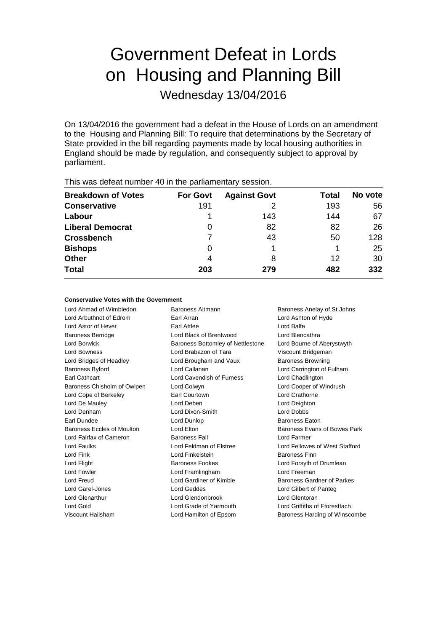# Government Defeat in Lords on Housing and Planning Bill

Wednesday 13/04/2016

On 13/04/2016 the government had a defeat in the House of Lords on an amendment to the Housing and Planning Bill: To require that determinations by the Secretary of State provided in the bill regarding payments made by local housing authorities in England should be made by regulation, and consequently subject to approval by parliament.

| <b>Breakdown of Votes</b> | <b>For Govt</b> | <b>Against Govt</b> | Total | No vote |  |
|---------------------------|-----------------|---------------------|-------|---------|--|
| <b>Conservative</b>       | 191             |                     | 193   | 56      |  |
| Labour                    |                 | 143                 | 144   | 67      |  |
| <b>Liberal Democrat</b>   | 0               | 82                  | 82    | 26      |  |
| <b>Crossbench</b>         |                 | 43                  | 50    | 128     |  |
| <b>Bishops</b>            | 0               |                     |       | 25      |  |
| <b>Other</b>              | 4               | 8                   | 12    | 30      |  |
| <b>Total</b>              | 203             | 279                 | 482   | 332     |  |
|                           |                 |                     |       |         |  |

This was defeat number 40 in the parliamentary session.

# **Conservative Votes with the Government**

Lord Ahmad of Wimbledon Baroness Altmann Baroness Anelay of St Johns Lord Arbuthnot of Edrom Earl Arran Lord Ashton of Hyde Lord Astor of Hever Earl Attlee Lord Balfe Baroness Berridge Lord Black of Brentwood Lord Blencathra Lord Borwick **Baroness Bottomley of Nettlestone** Lord Bourne of Aberystwyth Lord Bowness Lord Brabazon of Tara Viscount Bridgeman Lord Bridges of Headley **Lord Brougham and Vaux** Baroness Browning Baroness Byford Lord Callanan Lord Carrington of Fulham Earl Cathcart Lord Cavendish of Furness Lord Chadlington Baroness Chisholm of Owlpen Lord Colwyn Lord Cooper of Windrush Lord Cope of Berkeley **Earl Courtown** Early Courtown Lord Crathorne Lord De Mauley **Lord Deben** Lord Deben **Lord Deighton** Lord Denham Lord Dixon-Smith Lord Dobbs Earl Dundee Lord Dunlop Baroness Eaton Baroness Eccles of Moulton Lord Elton Baroness Evans of Bowes Park Lord Fairfax of Cameron Baroness Fall Lord Farmer Lord Faulks Lord Feldman of Elstree Lord Fellowes of West Stafford Lord Fink Lord Finkelstein Baroness Finn Lord Flight **Baroness Fookes** Lord Forsyth of Drumlean Lord Fowler **Lord Framlingham** Lord Freeman Lord Freud Lord Gardiner of Kimble Baroness Gardner of Parkes Lord Garel-Jones Lord Geddes Lord Gilbert of Panteg Lord Glenarthur Lord Glendonbrook Lord Glentoran Lord Gold **Lord Grade of Yarmouth** Lord Griffiths of Fforestfach

Viscount Hailsham Lord Hamilton of Epsom Baroness Harding of Winscombe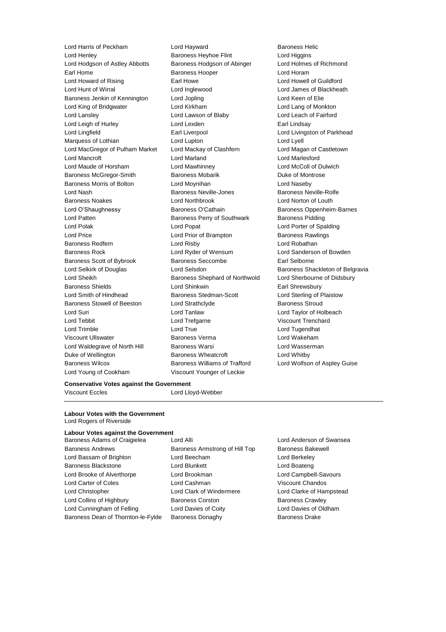Lord Henley Baroness Heyhoe Flint Lord Higgins Lord Hodgson of Astley Abbotts Baroness Hodgson of Abinger Lord Holmes of Richmond Earl Home **Baroness Hooper Baroness Hooper Lord Horam** Lord Howard of Rising **Earl Howe** Earl Howe **Lord Howell of Guildford** Lord Hunt of Wirral **Lord Inglewood** Lord Inglewood Lord James of Blackheath Baroness Jenkin of Kennington Lord Jopling Lord Keen of Elie Lord King of Bridgwater Lord Kirkham Lord Lang of Monkton Lord Lansley Lord Lawson of Blaby Lord Leach of Fairford Lord Leigh of Hurley **Lord Lexden** Earl Lindsay Lord Lingfield **Earl Liverpool** Earl Liverpool **Lord Livingston of Parkhead** Marquess of Lothian **Lord Lupton** Lord Lupton **Lord Lyell** Lord MacGregor of Pulham Market Lord Mackay of Clashfern Lord Magan of Castletown Lord Mancroft Lord Marland Lord Marlesford Lord Maude of Horsham Lord Mawhinney Lord McColl of Dulwich Baroness McGregor-Smith Baroness Mobarik Duke of Montrose Baroness Morris of Bolton Lord Moynihan Lord Naseby Lord Nash Baroness Neville-Jones Baroness Neville-Rolfe Baroness Noakes Lord Northbrook Lord Norton of Louth Lord O'Shaughnessy **Baroness O'Cathain** Baroness Oppenheim-Barnes Lord Patten **Baroness Perry of Southwark** Baroness Pidding Lord Polak Lord Popat Lord Porter of Spalding Lord Price **Lord Prior of Brampton** Baroness Rawlings Baroness Redfern Lord Risby Lord Robathan Baroness Rock Lord Ryder of Wensum Lord Sanderson of Bowden Baroness Scott of Bybrook Baroness Seccombe Earl Selborne Lord Selkirk of Douglas **Lord Selsdon** Baroness Shackleton of Belgravia Lord Sheikh **Baroness Shephard of Northwold** Lord Sherbourne of Didsbury Baroness Shields **Lord Shinkwin** Earl Shrewsbury Lord Smith of Hindhead Baroness Stedman-Scott Lord Sterling of Plaistow Baroness Stowell of Beeston Lord Strathclyde Baroness Stroud Lord Suri Lord Tanlaw Lord Taylor of Holbeach Lord Tebbit Lord Trefgarne Viscount Trenchard Lord Trimble Lord True Lord Tugendhat Viscount Ullswater Baroness Verma Lord Wakeham Lord Waldegrave of North Hill Baroness Warsi **Lord Wasserman** Duke of Wellington **Baroness Wheatcroft Lord Whitby** Baroness Wilcox Baroness Williams of Trafford Lord Wolfson of Aspley Guise

Lord Harris of Peckham **Lord Hayward** Baroness Helic Lord Young of Cookham Viscount Younger of Leckie

# **Conservative Votes against the Government**

Viscount Eccles Lord Lloyd-Webber

## **Labour Votes with the Government** Lord Rogers of Riverside

# **Labour Votes against the Government**

| Baroness Adams or Craiglelea       |
|------------------------------------|
| <b>Baroness Andrews</b>            |
| Lord Bassam of Brighton            |
| <b>Baroness Blackstone</b>         |
| Lord Brooke of Alverthorpe         |
| Lord Carter of Coles               |
| Lord Christopher                   |
| Lord Collins of Highbury           |
| Lord Cunningham of Felling         |
| Baroness Dean of Thornton-le-Fylde |

Baroness Armstrong of Hill Top Baroness Bakewell Lord Beecham **Communist Lord Berkeley** Lord Blunkett Lord Boateng Lord Brookman **Lord Campbell-Savours** Lord Cashman Viscount Chandos Lord Clark of Windermere Lord Clarke of Hampstead Baroness Corston **Baroness Crawley** Lord Davies of Coity **Lord Davies of Oldham** Baroness Donaghy **Baroness Drake** 

Lord Alli **Lord Anderson of Swansea**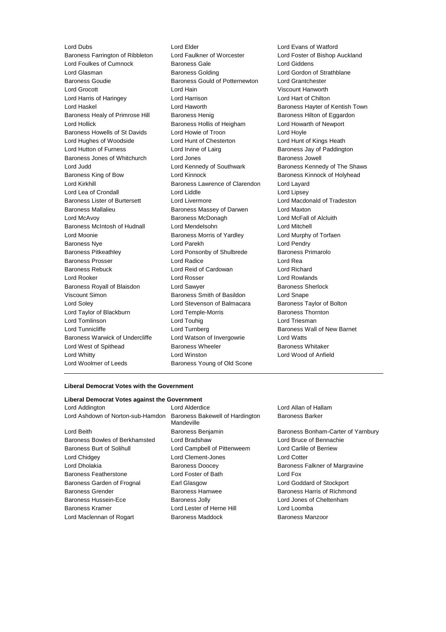Baroness Farrington of Ribbleton Lord Foulkes of Cumnock Baroness Gale Lord Giddens Lord Glasman **Baroness Golding Community Community** Lord Gordon of Strathblane Baroness Goudie Baroness Gould of Potternewton Lord Grantchester Lord Grocott Lord Hain Viscount Hanworth Lord Harris of Haringey Lord Harrison Lord Hart of Chilton Lord Haskel Lord Haworth Baroness Hayter of Kentish Town Baroness Healy of Primrose Hill Baroness Henig Baroness Hensen Baroness Hilton of Eggardon Lord Hollick **Baroness Hollis of Heigham** Lord Howarth of Newport Baroness Howells of St Davids Lord Howie of Troon Lord Hoyle Lord Hughes of Woodside Lord Hunt of Chesterton Lord Hunt of Kings Heath Lord Hutton of Furness **Lord Irvine of Lairg** Baroness Jay of Paddington Baroness Jones of Whitchurch Lord Jones **Baroness Jowell** Lord Judd Lord Kennedy of Southwark Baroness Kennedy of The Shaws Baroness King of Bow **Lord Kinnock** Baroness Kinnock **Baroness Algebrary** Lord Kirkhill **Baroness Lawrence of Clarendon** Lord Layard Lord Lea of Crondall **Lord Liddle** Lord Liddle **Lord Linux** Lord Lipsey Baroness Lister of Burtersett Lord Livermore Lord Macdonald of Tradeston Baroness Mallalieu Baroness Massey of Darwen Lord Maxton Lord McAvoy Baroness McDonagh Lord McFall of Alcluith Baroness McIntosh of Hudnall Lord Mendelsohn Lord Mitchell Lord Moonie **Baroness Morris of Yardley** Lord Murphy of Torfaen Baroness Nye **Lord Parekh** Lord Parekh **Lord Pendry** Baroness Pitkeathley Lord Ponsonby of Shulbrede Baroness Primarolo Baroness Prosser Lord Radice Lord Rea Baroness Rebuck Lord Reid of Cardowan Lord Richard Lord Rooker Lord Rosser Lord Rowlands Baroness Royall of Blaisdon Lord Sawyer **Baroness Sherlock** Baroness Sherlock Viscount Simon **Baroness Smith of Basildon** Lord Snape Lord Soley Lord Stevenson of Balmacara Baroness Taylor of Bolton Lord Taylor of Blackburn **Lord Temple-Morris** Baroness Thornton Lord Tomlinson **Lord Touhig Lord Triesman** Lord Triesman Lord Tunnicliffe **Lord Turnberg** Lord Turnberg **Baroness Wall of New Barnet** Baroness Warwick of Undercliffe Lord Watson of Invergowrie Lord Watts Lord West of Spithead **Baroness Wheeler** Baroness Wheeler Baroness Whitaker Lord Whitty Lord Winston Lord Wood of Anfield Lord Woolmer of Leeds Baroness Young of Old Scone

Lord Dubs<br>
Lord Evans of Watford<br>
Baroness Farrington of Ribbleton Lord Faulkner of Worcester Lord Foster of Bishop Auckland

# **Liberal Democrat Votes with the Government**

### **Liberal Democrat Votes against the Government**

| LUIU AUUIIIUIUII                  | LUIU AIUCIUIUC                                | LUIU Aliai       |
|-----------------------------------|-----------------------------------------------|------------------|
| Lord Ashdown of Norton-sub-Hamdon | Baroness Bakewell of Hardington<br>Mandeville | <b>Baroness</b>  |
| Lord Beith                        | Baroness Benjamin                             | <b>Baroness</b>  |
| Baroness Bowles of Berkhamsted    | Lord Bradshaw                                 | Lord Brud        |
| <b>Baroness Burt of Solihull</b>  | Lord Campbell of Pittenweem                   | Lord Carl        |
| Lord Chidgey                      | Lord Clement-Jones                            | <b>Lord Cott</b> |
| Lord Dholakia                     | <b>Baroness Doocey</b>                        | <b>Baroness</b>  |
| <b>Baroness Featherstone</b>      | Lord Foster of Bath                           | Lord Fox         |
| Baroness Garden of Frognal        | Earl Glasgow                                  | Lord God         |
| <b>Baroness Grender</b>           | <b>Baroness Hamwee</b>                        | <b>Baroness</b>  |
| <b>Baroness Hussein-Ece</b>       | <b>Baroness Jolly</b>                         | Lord Jone        |
| <b>Baroness Kramer</b>            | Lord Lester of Herne Hill                     | Lord Loor        |
| Lord Maclennan of Rogart          | <b>Baroness Maddock</b>                       | <b>Baroness</b>  |

Lord Allan of Hallam Baroness Barker

Baroness Bonham-Carter of Yarnbury Lord Bruce of Bennachie Lord Carlile of Berriew Lord Cotter Baroness Falkner of Margravine Lord Goddard of Stockport Baroness Harris of Richmond Lord Jones of Cheltenham Lord Loomba Baroness Manzoor